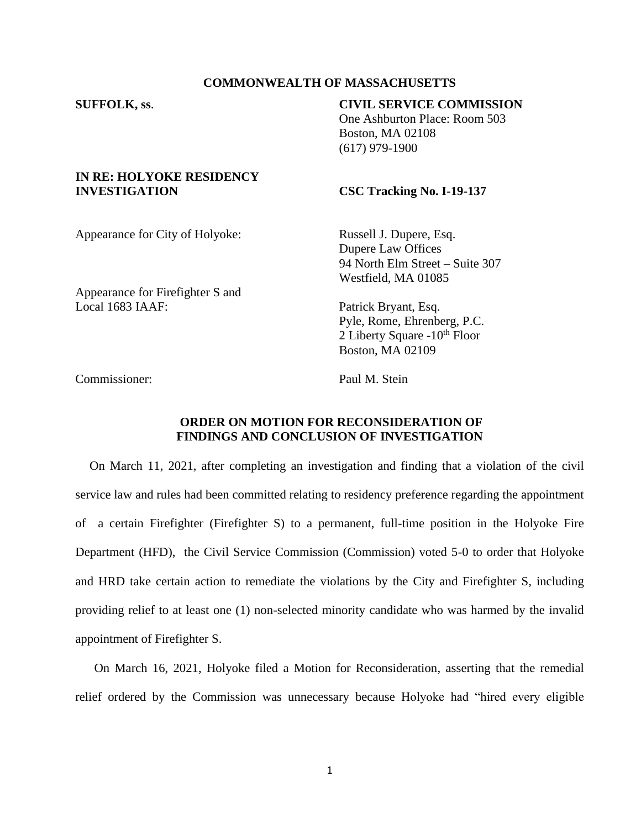### **COMMONWEALTH OF MASSACHUSETTS**

## **SUFFOLK, ss**. **CIVIL SERVICE COMMISSION**

One Ashburton Place: Room 503 Boston, MA 02108 (617) 979-1900

### **IN RE: HOLYOKE RESIDENCY INVESTIGATION CSC Tracking No. I-19-137**

Appearance for City of Holyoke: Russell J. Dupere, Esq.

Dupere Law Offices 94 North Elm Street – Suite 307 Westfield, MA 01085

Appearance for Firefighter S and Local 1683 IAAF: Patrick Bryant, Esq.

Pyle, Rome, Ehrenberg, P.C. 2 Liberty Square  $-10^{th}$  Floor Boston, MA 02109

Commissioner: Paul M. Stein

# **ORDER ON MOTION FOR RECONSIDERATION OF FINDINGS AND CONCLUSION OF INVESTIGATION**

On March 11, 2021, after completing an investigation and finding that a violation of the civil service law and rules had been committed relating to residency preference regarding the appointment of a certain Firefighter (Firefighter S) to a permanent, full-time position in the Holyoke Fire Department (HFD), the Civil Service Commission (Commission) voted 5-0 to order that Holyoke and HRD take certain action to remediate the violations by the City and Firefighter S, including providing relief to at least one (1) non-selected minority candidate who was harmed by the invalid appointment of Firefighter S.

On March 16, 2021, Holyoke filed a Motion for Reconsideration, asserting that the remedial relief ordered by the Commission was unnecessary because Holyoke had "hired every eligible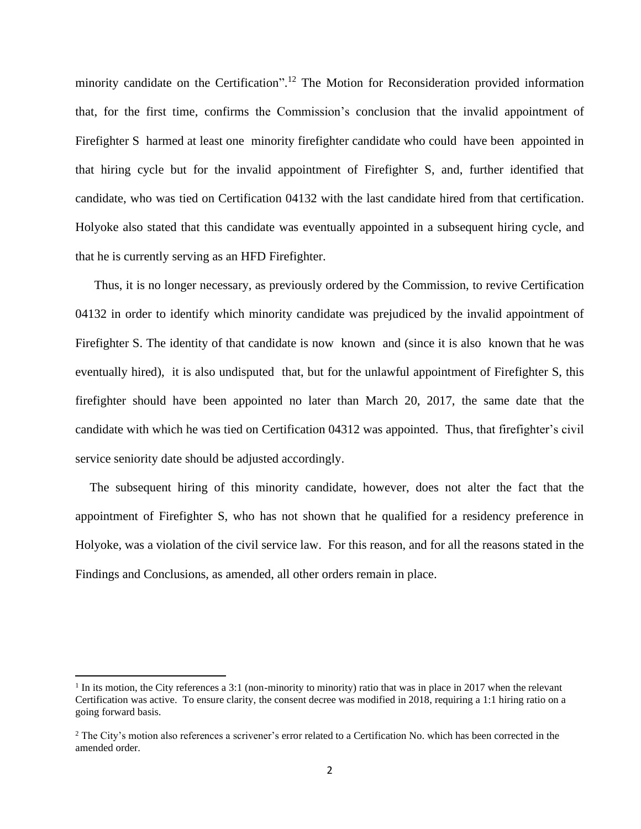minority candidate on the Certification".<sup>12</sup> The Motion for Reconsideration provided information that, for the first time, confirms the Commission's conclusion that the invalid appointment of Firefighter S harmed at least one minority firefighter candidate who could have been appointed in that hiring cycle but for the invalid appointment of Firefighter S, and, further identified that candidate, who was tied on Certification 04132 with the last candidate hired from that certification. Holyoke also stated that this candidate was eventually appointed in a subsequent hiring cycle, and that he is currently serving as an HFD Firefighter.

Thus, it is no longer necessary, as previously ordered by the Commission, to revive Certification 04132 in order to identify which minority candidate was prejudiced by the invalid appointment of Firefighter S. The identity of that candidate is now known and (since it is also known that he was eventually hired), it is also undisputed that, but for the unlawful appointment of Firefighter S, this firefighter should have been appointed no later than March 20, 2017, the same date that the candidate with which he was tied on Certification 04312 was appointed. Thus, that firefighter's civil service seniority date should be adjusted accordingly.

The subsequent hiring of this minority candidate, however, does not alter the fact that the appointment of Firefighter S, who has not shown that he qualified for a residency preference in Holyoke, was a violation of the civil service law. For this reason, and for all the reasons stated in the Findings and Conclusions, as amended, all other orders remain in place.

 $<sup>1</sup>$  In its motion, the City references a 3:1 (non-minority to minority) ratio that was in place in 2017 when the relevant</sup> Certification was active. To ensure clarity, the consent decree was modified in 2018, requiring a 1:1 hiring ratio on a going forward basis.

<sup>&</sup>lt;sup>2</sup> The City's motion also references a scrivener's error related to a Certification No. which has been corrected in the amended order.